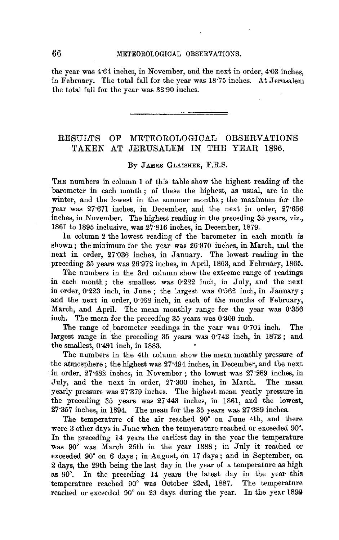the year was 4·64 inches, in November, and the next in order, 4-03 inches, in February. The total fall for the year was 18·75 inches. At Jerusalem the total fall for the year was 32·90 inches.

## RESULTS OF METEOROLOGICAL OBSERVATIONS TAKEN AT JERUSALEM IN THE YEAR 1896.

## By JAMES GLAISHER, F.R.S.

THE numbers in column 1 of this table show the highest reading of the barometer in each month ; of these the highest, as usual, are in the winter, and the lowest in the summer months ; the maximum for the year was 27·671 inches, in December, and the next in order, 27·656 inches, in November. The highest readiug in the preceding 35 years, viz., 1861 to 1895 inclusive, was 27·816 inches, in December, 1879.

In column 2 the lowest readiug of the barometer in each month is shown; the minimum for the year was 26.970 inches, in March, and the next in order, 27'036 inches, in January. The lowest reading in the preceding 35 years was 26·972 inches, in April, 1863, and February, 1865.

The numbers in the 3rd column show the extreme range of readings in each month; the smallest was 0·222 inch, in July, and the next in order,  $0.223$  inch, in June ; the largest was  $0.562$  inch, in January; and the next in order, 0·468 inch, in each of the months of February, March, and April. The mean monthly range for the year was 0·356 inch. The mean for the preceding 35 years was 0·309 inch.

The range of barometer readings in the year was 0·701 inch. The largest range in the preceding 35 years was 0·742 inch, in 1872; and the smallest, 0·491 inch, in 1883.

The numbers in the 4th column show the mean monthly pressure of the atmosphere; the highest was 27·494 inches, in December, and the next in order, 27·482 inches, in November; the lowest was 27·289 inches, in July, and the next in order, 27·300 inches, in March. The mean yearly pressure was 27·379 inches. The highest mean yearly pressure in the preceding 35 years was 27·443 inches, in 1861, and the lowest, 27·357 inches, in 1894. The mean for the 35 years was 27·389 inches.

The temperature of the air reached 90° on June 4th, and there were 3 other days in June when the temperature reached or exceeded 90". In the preceding 14 years the earliest day in the year the temperature was 90° was March 25th in the year 1888; in July it reached or exceeded 90° on 6 days; in August, on 17 days; and in September, on 2 days, the 29th being the last day in the year of a temperature as high as 90°. In the preceding 14 years the latest day in the year this temperature reached 90° was October 23rd, 1887. The temperature reached or exceeded 90° on 29 days during the year. In the year 1892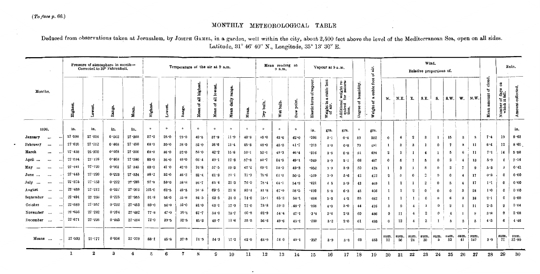$(To \, face \, p. \, 66.)$ 

## MONTHLY METEOROLOGICAL TABLE

Deduced from observations taken at Jerusalem, by Joseph GAMEL, in a garden, well within the city, about 2,500 feet above the level of the Mediterranean Sea, open on all sides. Latitude, 31° 46' 40" N., Longitude, 35° 13' 30" E.

| Pressure of atmosphere in month-<br>Corrected to 32° Fahrenheit. |            |             |            | Temperature of the air at 9 a.m. |                |              |          |            |                        |                            | Mean reading at<br>9 a.m. |          |              | Vapour at 9 a.m. |                            |                                   |                              | ÷.<br>៵                                                        | Wind.<br>Relative proportions of. |                                    |                  |                      |                  |                           |              |                         | Rain.          |             |                           |                                       |                   |
|------------------------------------------------------------------|------------|-------------|------------|----------------------------------|----------------|--------------|----------|------------|------------------------|----------------------------|---------------------------|----------|--------------|------------------|----------------------------|-----------------------------------|------------------------------|----------------------------------------------------------------|-----------------------------------|------------------------------------|------------------|----------------------|------------------|---------------------------|--------------|-------------------------|----------------|-------------|---------------------------|---------------------------------------|-------------------|
| Months.                                                          | Eigh       | <b>DANO</b> |            | age<br>ë                         | ŠШ             | Highe        | Lowest   | Range      | all highe<br>៵<br>Меал | lowest<br>듾<br>៵<br>耳<br>ž | range.<br>daily<br>Mean   | Меад.    | bulb.<br>Dry | et bulb.<br>Þ    | point<br>$\mathbf{a}$<br>å | vapour.<br>ð<br>tic force<br>Elas | cubic foot<br>ದ<br>Weight in | Additional weight re-<br>quired for satura-<br>tion.<br>$\sim$ | humidity.<br>đ<br>Degree          | foot<br>cubic:<br>ಡ<br>៵<br>Weight | N.               | N.E.                 | E.               | S.E.                      | S.           | s.w.                    | W.             | N.W         | cloud.<br>눵<br>ij<br>Mean | 5<br>Number of days<br>which it fell. |                   |
| 1896.                                                            | in.        |             | in.        | in.                              | in.            | $^{\circ}$   | $\circ$  | $^{\circ}$ | $\mathbf{o}$           | $\circ$                    | $\circ$                   | $\Omega$ | $\circ$      | $\sigma$         | $\circ$                    | in.                               | grs.                         | grs.                                                           | $\bullet$                         | $\sim$<br>grs.                     |                  |                      |                  |                           |              |                         |                |             |                           |                                       | in.               |
| January<br>$\cdots$                                              | $27 - 598$ | $27 - 036$  |            | 0.562                            | $27 - 365$     | 57.0         | $28 - 0$ | $29 - 0$   | $49 - 8$               | 37.9                       | $11 - 9$                  | 43.8     | 45.0         | $43 - 6$         | 42.0                       | $-266$                            | 3.1                          | 0.4                                                            | 89                                | 502                                | 0                | $\overline{4}$       | $\boldsymbol{2}$ | 3                         |              | 15                      | -3             | 3           | 7.4                       | 19                                    | $9 - 61$          |
| February<br>$\cdots$                                             | 27.620     |             | $27 - 152$ | 0.468                            | 27.450         | 68.0         | 30.0     | $38 - 0$   | 52.0                   | $38 - 6$                   | 13.4                      | $45 - 3$ | 48.0         | 45.0             | 41.7                       | $-263$                            | 3.0                          | 0.8                                                            | 79                                | 491                                | -1               | 3                    | 3                | 1                         | $\Omega$     | -7                      | 3              | 11          | $6 - 4$                   | 12                                    | 8 65              |
| March<br>$\bullet\bullet\bullet$                                 | 27.438     | 26.970      |            | 0.468                            | 27.300         | $68 - 0$     | 36.0     | $32 - 0$   | $58 - 0$               | $42 - 2$                   | 15.8                      | $50 - 1$ | $52 - 1$     | $49 - 3$         | 46.4                       | $-316$                            | $3 - 6$                      | $0 - 8$                                                        | 81                                | 494                                | $\boldsymbol{2}$ | -1                   |                  | $\overline{\mathbf{4}}$   |              | 5                       | 6              | 11          | 7.1                       | 14                                    | 5 - 50            |
| April<br>$\cdots$<br>$\cdot$                                     | $27 - 594$ | $27 - 126$  |            | 0.468                            | $27 - 380$     | 85.0         | $36 - 0$ | 49.0       | 66.4                   | $49-1$                     | $17 - 3$                  | $57 - 8$ | 60.7         | 54.5             | $49-1$                     | $-349$                            | $3 - 9$                      | $2 \cdot 1$                                                    | 66                                | 487                                | $\bf{0}$         | 5                    | 1                | Đ.                        | $\mathbf{0}$ | 2                       | $\overline{4}$ | 13          | 5.9                       | 6                                     | $2 \cdot 14$      |
| Мау<br>$\ddotsc$                                                 | $27 - 481$ |             | $27 - 120$ | 0.361                            | 27.345         | $89 - 0$     | 47.0     | $42 - 0$   | 76-8                   | $57 - 5$                   | $19 - 3$                  | $67 - 2$ | 69 - 1       | 58.0             | $49 - 3$                   | $-352$                            | 3.9                          | 3.9                                                            | 50                                | 478                                | -1               | $\mathbf{3}$         | 1                | 8                         | $\theta$     | $\mathbf{2}$            | 7              | 9           | 5.3                       | 3                                     | 0.42              |
| June<br>$\cdots$                                                 | $27 - 443$ |             | $27 - 220$ | $0 - 223$                        | $27 - 334$     | $98 - 2$     | $52 - 0$ | $46 - 2$   | $82 - 4$               | $61 - 3$                   | $21 - 1$                  | $71 - 9$ | 75 ° 6       | 610              | 50.5                       | $-369$                            | 3.9                          | 5.6                                                            | 42                                | 472                                | 2                | $\tilde{\mathbf{v}}$ | $\mathbf 0$      | $\boldsymbol{\mathsf{s}}$ | $^{o}$       | 0                       | $\overline{4}$ | 17          | 0.3                       | 0                                     | 0.00              |
| $July \dots$<br>$\cdots$<br>$\ddot{\phantom{0}}$                 | 27.375     |             | 27.153     | 0.222                            | $27 - 289$     | 97.8         | 59.0     | $38 - 8$   | $86 - 7$               | 654                        | $21 - 3$                  | 76.0     | 78.4         | $64 - 1$         | $54 - 2$                   | $-421$                            | 45                           | 5.9                                                            | 43                                | 469                                | 1                |                      |                  | $\mathbf{2}$              | $^{\circ}$   | 5                       | $\overline{4}$ | 17          | $1^1$                     | 0                                     | 0.00              |
| August<br>$\cdots$<br>$\ddot{\phantom{0}}$                       | $27 - 139$ |             | 27.212     | $0 - 227$                        | 27.303         | $103 - 0$    | $62 - 5$ | 40.5       | 91.3                   | 69.5                       | 21.8                      | $80 - 4$ | 81.8         | 67.9             | 58.5                       | •493                              | 5.3                          | $6 - 3$                                                        | 45                                | 466                                | -1               |                      | 2                | $\bf o$                   | $\mathbf{0}$ | 0                       | -8             | 24          | $1 - 0$                   | 0                                     | 0.00              |
| September<br>$\cdots$<br>                                        | $27 - 491$ |             | 27.266     | 0.225                            | $27 - 355$     | 91.8         | 56.0     | 35.8       | 84.5                   | 63.5                       | 21.0                      | $74 - 0$ | 75.1         | 65.2             | $58 - 1$                   | .484                              | $5 - 3$                      | $4 - 2$                                                        | 55                                | 482                                | ı                |                      |                  | $\Omega$                  | $\bf{0}$     | 6                       | -3             | 18          | $2 - 1$                   | 0                                     | 0.00              |
| Ociober<br>$\cdots$                                              | $27 - 589$ |             | $27 - 357$ | 0.232                            | $27 - 453$     | $89 - 0$     | $56 - 0$ | 33.0       | $81 - 0$               | 63.1                       | $17 - 9$                  | 72.0     | 73.8         | 59.3             | $.48 - 7$                  | $-368$                            | 4.0                          | 5-0                                                            | 44                                | 476                                | $\mathbf{a}$     | 9                    | $\overline{4}$   |                           | $\bf{0}$     | $\mathbf 2$             | 1              | 11          | $2 - 3$                   | $\bf{2}$                              | 0.04              |
| November<br>$\cdots$                                             | $27 - 656$ |             | 27.282     | 0.374                            | $27 - 482$     | 77.8         | 47.0     | 30.8       | 67 • 7                 | $54-0$                     | $13 - 7$                  | $60 - 8$ | $62 - 9$     | 54.4             | 47:1                       | $-3.24$                           | 3.6                          | 2.3                                                            | 60                                | 486                                | $^{\circ}$       | 11                   | $\overline{4}$   | 2                         | $\mathbf{0}$ | $\overline{\mathbf{4}}$ | -1             | 8           | 3.8                       | 9                                     | 2.08              |
| December<br>$\cdots$                                             | $27 - 671$ |             | 27 226     | 0.445                            | $27 - 494$     | $72 - 0$     | 39.5     | $32 - 5$   | 61.3                   | $49 - 7$                   | 11.6                      | $55 - 5$ | $56-6$       | 49.6             | $43 - 1$                   | $-280$                            | $3 - 2$                      | 2.0                                                            | 6 L                               | 493                                | $\Omega$         | 12                   | $\overline{4}$   | $\boldsymbol{2}$          |              | ă,                      | $\mathbf{2}$   | 5           | 4.3                       | 6                                     | 4.46              |
| Means                                                            | $27 - 533$ |             | $27 - 177$ | $0*356$                          | 27.379         | $83 \cdot 1$ | 45.8     | 37.3       | $71 - 5$               | 54-3                       | 17.2                      | $62 - 9$ | 64.9         | £6 0             | 49.1                       | $-357$                            | 3.9                          | 3.3                                                            | 60                                | 483                                | sum.<br>12       | sum.<br>56           | sum.<br>24       | sum.<br>30                | sum.<br>-3   | sum.<br>53              | sum.<br>41     | sum.<br>147 | 3.9                       | sum.<br>71                            | sum.<br>$32 - 90$ |
|                                                                  |            |             | $\bf{2}$   | 3                                | $\overline{4}$ | 5            | 6        | 7          | 8                      | s                          | 10                        | 11       | 12           | 13               | 14                         | 15                                | 16                           | 17                                                             | 18                                | 19                                 | 20               | 21                   | 22               | 23                        | 24           | 25                      | 26             | 27          | 28                        | 29                                    | 30                |

 $\overline{\phantom{a}}$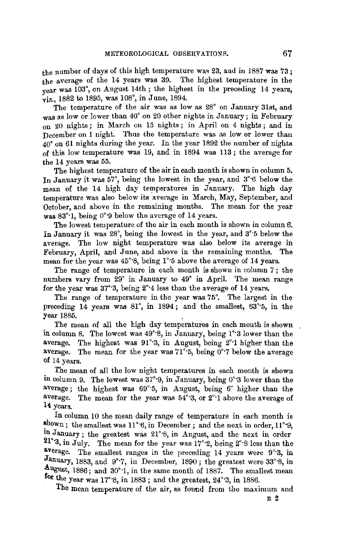the number of days of this high temperature was 23, and in 1887 was  $73$ : the average of the 14 years was 39. The highest temperature in the year was 103°, on August 14th ; the highest in the preceding 14 years, viz., 1882 to 1895, was 108°, in June, 1894.

The temperature of the air was as low as 28° on January 31st, and was as low or lower than 40° on 20 other nights in January; in February on 20 nights ; in March on 15 nights ; in April on 4 nights ; and in December on I night. Thus the temperature was as low or lower than 40° on 61 nights during the year. In the year 1892 the number of nights of this low temperature was 19, and in 1894 was 113; the average for the 14 years was 55.

The highest temperature of the air in each month is shown in column 5, In January it was 57', being the lowest in the year, and 3°·6 below the mean of the 14 high day temperatures in January. The high day temperature was also below its average in March, May, September, and October, and above in the remaining months. The mean for the year was 83"·1, being 0°'9 below the average of 14 years.

The lowest temperature of the air in each month is shown in column 6. In January it was 28°, being the lowest in the year, and 3'·5 below the average. The low night temperature was also below its average in February, April, and June, and above in the remaining months. The mean for the year was 45°·8, being 1'·5 above the average of 14 years.

The range of temperature in each month is shown in column 7 ; the numbers vary from 29° in January to 49° in April. The mean range for the year was 37'·3, being 2°·4 less than the average of 14 years.

The range of temperature in the year was 75'. The largest in the preceding 14 years was  $81^\circ$ , in 1894; and the smallest,  $63^\circ$ <sup>5</sup>, in the year 1885.

The mean of all the high day temperatures in each month is shown in column 8. The lowest was 49°·8, in January, being 1°·3 lower than the average. The highest was  $91^{\circ}3$ , in August, being  $2^{\circ}1$  higher than the average. The mean for the year was  $71^\circ$ -5, being  $0^\circ$ -7 below the average of 14 years.

The mean of all the low night temperatures in each month is shown in column 9. The lowest was 37°·9, in January, being 0°·3 lower than the average; the highest was 69°·5, in August, being 6° higher than the average. The mean for the year was  $54^{\circ}3$ , or  $2^{\circ}1$  above the average of **14** years.

In column 10 the mean daily range of temperature in each month is<br>shown; the smallest was  $11^{\circ}6$ , in December; and the next in order,  $11^{\circ}9$ , in January; the greatest was  $21^\circ$ 8, in August, and the next in order 21°·3, in July. The mean for the year was 17°·2, being 2'·8 less than the average. The smallest ranges in the preceding 14 years were 9°·3, in January, 1883, and 9°7, in December, 1890; the greatest were 33°8, in tugust, 1886; and 30°·1, in the same month of 1887. The smallest mean for the year was 17°8, in 1883; and the greatest, 24°<sup>3</sup>, in 1886.

The mean temperature of the air, as found from the maximum and

 $E<sub>2</sub>$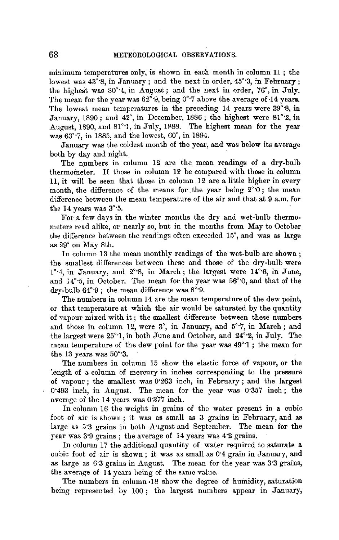minimum temperatures only, is shown in each month in column 11 ; the lowest was  $43^{\circ}$ 8, in January; and the next in order,  $45^{\circ}$ 3, in February; the highest was 80°·4, in August; and the next **in** order, 76°, in July. The mean for the year was 62°·9, being 0°·7 above the average of **•14** years. The lowest mean temperatures in the preceding 14 years were 39°·8, in January, 1890; and 42°, in December, 1886; the highest were 81°·2, **in**  August, 1890, and 81°<sup>-</sup>1, in July, 1888. The highest mean for the year was 63°·7, in 1885, and the lowest, 60°, in 1894.

January was the coldest month of the year, and was below its average both by day and night.

The numbers in column 12 are the mean readings of a dry-bulb thermometer. If those in column 12 be compared with those in column 11, it will be seen that those in column 12 are a little higher in every month, the difference of the means for the year being  $2°0$ ; the mean difference between the mean temperature of the air and that at 9 a.m. for the 14 years was 3'·5.

For a few days in the winter months the dry and wet-bulb thermometers read alike, or nearly so, but in the months from May to October the difference between the readings often exreeded 15", and was as **large**  as 29° on May 8th.

In column 13 the mean monthly readings of the wet-bulb are shown: the smallest differences between these and those of the dry-bulb were  $1^\circ$ <sup>4</sup>, in January, and  $2^\circ$ <sup>8</sup>, in March; the largest were  $14^\circ$ <sup>6</sup>, in June, and  $14^\circ$ <sup>5</sup>, in October. The mean for the year was  $56^\circ$ °0, and that of the dry-bulb 64"·9 ; the mean difference was 8°·9.

The numbers in column 14 are the mean temperature of the dew point, or that temperature at which the air would be saturated by the quantity of vapour mixed with it ; the smallest difference between these numbers and those in column 12, were 3°, in January, and 5°·7, in March; and the largest were 25'·1, in both June and October, and 24°·2, in July. The mean temperature of the dew point for the year was 49'·1 ; the mean for the 13 years was 50°·3.

The numbers in column 15 show the elastic force of vapour, or the length of a column of mercury in inches corresponding to the pressure of vapour; the smallest was 0"263 inch, in February ; and the largest 0•493 inch, in August. The mean for the year was 0·357 inch ; the average of the 14 years was 0·377 inch.

In column 16 the weight in grains of the water present in a cubic foot of air is shown ; it was as small as 3 grains in February, and as large as 5·3 grains in both August and September. The mean for the year was 3·9 grains ; the average of 14 years was 4·2 grains.

In column 17 the additional quantity of water required to saturate a cubic foot of air is shown; it was as small as 0·4 grain in January; and as large as 6·3 grains in August. The mean for the year was 3·3 grains, the avernge of 14 years being of the same value.

The numbers in column •18 show the degree of humidity, saturation being represented by 100; the largest numbers appear in January,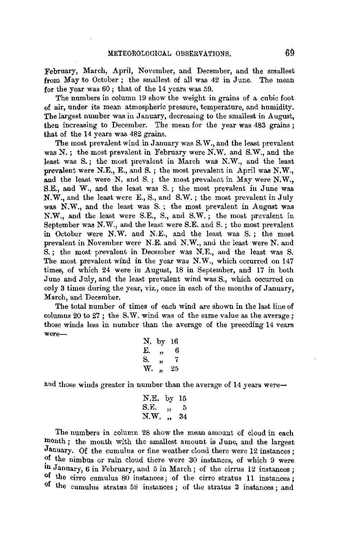February, March, April, November, and December, and the smallest from May to October; the smallest of all was 42 in June. The mean for the year was 60; that of the 14 years was 59.

The numbers in column 19 show the weight in grains of a cubic foot of air, under its mean atmospheric pressure, temperature, and humidity. The largest number was in January, decreasing to the smallest in August, then increasing to December. The mean for the year was 483 grains: that of the 14 years was 482 grains.

The most prevalent wind in January was S. W., and the least prevalent was N.; the most prevalent in February were N:W. and S.W., and the least was S.; the most prevalent in March was N.W., and the least prevalent were N.E., E., and S.; the most prevalent in April was N.W., and the least were N. and S. ; the most prevalent in May were N.W., S.E., and W., and the least was S. ; the most prevalent in June was N.W., and the least were E., S., and S.W.; the most prevalent in July was N.W., and the least was S. ; the most prevalent in August was N.W., and the least were S.E., S., and S.W.; the most prevalent in September was N.W., and the least were S.E. and 8.; the most prevalent in October were N.W. and N.E., and the least was S.; the most prevalent in November were N.E. and N.W., and the least were N. and S. ; the most prevalent in December was N.E., and the least was S. The most prevalent wind in the year was N.W., which occurred on 147 times, of which 24 were in August, 18 in September, and 17 in both June and July, and the least prevalent wind was S., which occurred on only 3 times during the year, viz., once in each of the months of January, March, and December.

The total number of times of each wind are shown in the last line of columns 20 to 27; the S.W. wind was of the same value as the average; those winds less in number than the average of the preceding 14 vears were-

|    | N. by 16 |    |
|----|----------|----|
| Е. | ,,       | в  |
| S. | 33       | 7  |
| w. | 33       | 25 |
|    |          |    |

and those winds greater in number than the average of 14 years were-

N.E. by 15 S.E. ,, 5 N.W. ,. 34

The numbers in column 28 show the mean amount of cloud in each month ; the month with the smallest amount is June, and the largest January. Of the cumulus or fine weather cloud there were 12 instances; ?f the nimbus or rain cloud there were 30 instances, of which 9 were in January, 6 in February, and 5 in March; of the cirrus 12 instances; **of** the cirro cumulus 80 instances; of the cirro stratus 11 instances; of the cumulus stratus 58 instances; of the stratus 3 instances; and